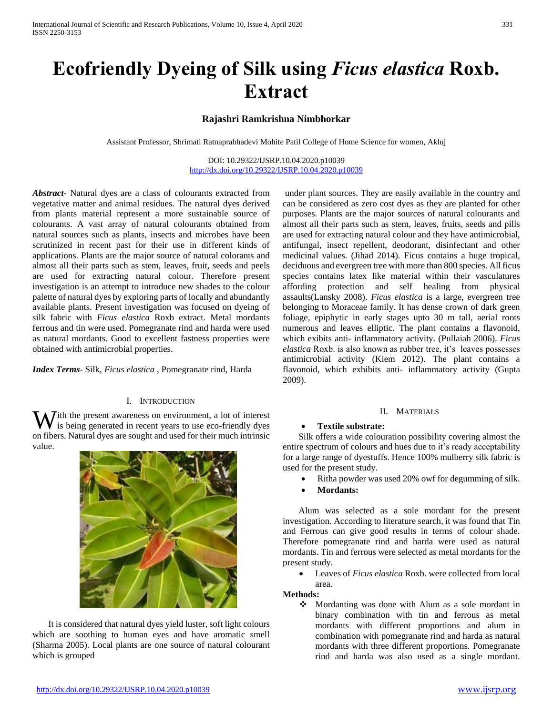# **Ecofriendly Dyeing of Silk using** *Ficus elastica* **Roxb. Extract**

# **Rajashri Ramkrishna Nimbhorkar**

Assistant Professor, Shrimati Ratnaprabhadevi Mohite Patil College of Home Science for women, Akluj

DOI: 10.29322/IJSRP.10.04.2020.p10039 <http://dx.doi.org/10.29322/IJSRP.10.04.2020.p10039>

*Abstract***-** Natural dyes are a class of colourants extracted from vegetative matter and animal residues. The natural dyes derived from plants material represent a more sustainable source of colourants. A vast array of natural colourants obtained from natural sources such as plants, insects and microbes have been scrutinized in recent past for their use in different kinds of applications. Plants are the major source of natural colorants and almost all their parts such as stem, leaves, fruit, seeds and peels are used for extracting natural colour. Therefore present investigation is an attempt to introduce new shades to the colour palette of natural dyes by exploring parts of locally and abundantly available plants. Present investigation was focused on dyeing of silk fabric with *Ficus elastica* Roxb extract. Metal mordants ferrous and tin were used. Pomegranate rind and harda were used as natural mordants. Good to excellent fastness properties were obtained with antimicrobial properties.

*Index Terms*- Silk, *Ficus elastica* , Pomegranate rind, Harda

### I. INTRODUCTION

With the present awareness on environment, a lot of interest<br>is being generated in recent years to use eco-friendly dyes is being generated in recent years to use eco-friendly dyes on fibers. Natural dyes are sought and used for their much intrinsic value.



 It is considered that natural dyes yield luster, soft light colours which are soothing to human eyes and have aromatic smell (Sharma 2005). Local plants are one source of natural colourant which is grouped

under plant sources. They are easily available in the country and can be considered as zero cost dyes as they are planted for other purposes. Plants are the major sources of natural colourants and almost all their parts such as stem, leaves, fruits, seeds and pills are used for extracting natural colour and they have antimicrobial, antifungal, insect repellent, deodorant, disinfectant and other medicinal values. (Jihad 2014). Ficus contains a huge tropical, deciduous and evergreen tree with more than 800 species. All ficus species contains latex like material within their vasculatures affording protection and self healing from physical assaults(Lansky 2008). *Ficus elastica* is a large, evergreen tree belonging to Moraceae family. It has dense crown of dark green foliage, epiphytic in early stages upto 30 m tall, aerial roots numerous and leaves elliptic. The plant contains a flavonoid, which exibits anti- inflammatory activity. (Pullaiah 2006). *Ficus elastica* Roxb. is also known as rubber tree, it's leaves possesses antimicrobial activity (Kiem 2012). The plant contains a flavonoid, which exhibits anti- inflammatory activity (Gupta 2009).

#### II. MATERIALS

#### **Textile substrate:**

 Silk offers a wide colouration possibility covering almost the entire spectrum of colours and hues due to it's ready acceptability for a large range of dyestuffs. Hence 100% mulberry silk fabric is used for the present study.

- Ritha powder was used 20% owf for degumming of silk.
- **Mordants:**

 Alum was selected as a sole mordant for the present investigation. According to literature search, it was found that Tin and Ferrous can give good results in terms of colour shade. Therefore pomegranate rind and harda were used as natural mordants. Tin and ferrous were selected as metal mordants for the present study.

Leaves of *Ficus elastica* Roxb. were collected from local

#### area. **Methods:**

 Mordanting was done with Alum as a sole mordant in binary combination with tin and ferrous as metal mordants with different proportions and alum in combination with pomegranate rind and harda as natural mordants with three different proportions. Pomegranate rind and harda was also used as a single mordant.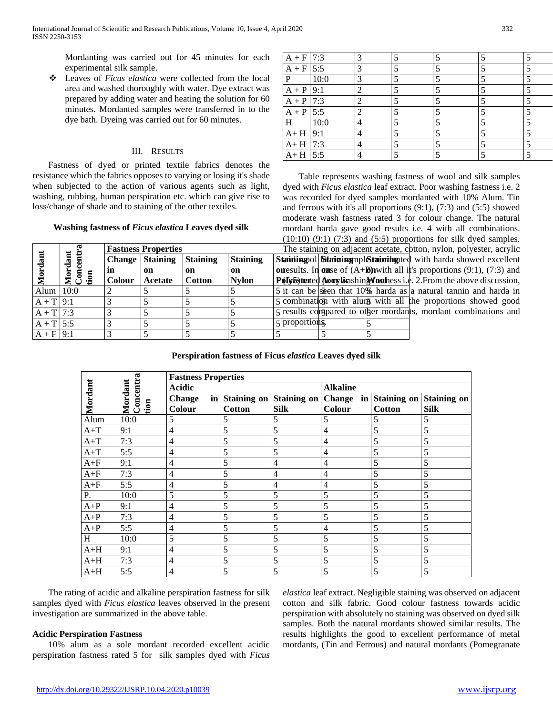Mordanting was carried out for 45 minutes for each experimental silk sample.

 Leaves of *Ficus elastica* were collected from the local area and washed thoroughly with water. Dye extract was prepared by adding water and heating the solution for 60 minutes. Mordanted samples were transferred in to the dye bath. Dyeing was carried out for 60 minutes.

#### III. RESULTS

 Fastness of dyed or printed textile fabrics denotes the resistance which the fabrics opposes to varying or losing it's shade when subjected to the action of various agents such as light, washing, rubbing, human perspiration etc. which can give rise to loss/change of shade and to staining of the other textiles.

## **Washing fastness of** *Ficus elastica* **Leaves dyed silk**

**Fastness Properties Change Staining** 

> **on Acetate**

**Staining on Cotton**

**Staining on Nylon**

**in Colour**

**Mordant**

**Mordant Concentra tion**

| $A + F$ 7:3 |      | 3              |                          |  |  |
|-------------|------|----------------|--------------------------|--|--|
| $A + F$ 5:5 |      | 3              | $\overline{\mathcal{L}}$ |  |  |
| P           | 10:0 | 3              | 5                        |  |  |
| $A + P$ 9:1 |      | 2              |                          |  |  |
| $A + P$ 7:3 |      | $\overline{2}$ | $\overline{\mathbf{S}}$  |  |  |
| $A + P$ 5:5 |      | 2              | 5                        |  |  |
| H           | 10:0 | 4              | ς                        |  |  |
| $A + H$ 9:1 |      | 4              | $\overline{\mathbf{S}}$  |  |  |
| $A + H$ 7:3 |      | 4              | 5                        |  |  |
| $A + H$ 5:5 |      | 4              |                          |  |  |

Stainling ol Staining mpl Staining ted with harda showed excellent **on results.** In **onse** of  $(A+R)$  with all it's proportions  $(9:1)$ ,  $(7:3)$  and Poly**Esterted Accordicashing Worthess i.e.** 2. From the above discussion, Alum  $10:0$  2 5  $\frac{1}{5}$  5  $\frac{1}{5}$  5 it can be seen that 10% harda as a natural tannin and harda in  $A + T$  9:1  $\begin{vmatrix} 3 \\ 5 \end{vmatrix}$  5  $\begin{vmatrix} 5 \\ 5 \end{vmatrix}$  5 combination with alum with all the proportions showed good  $A + T$  7:3  $\begin{vmatrix} 3 \\ 5 \end{vmatrix}$  5  $\begin{vmatrix} 5 \\ 5 \end{vmatrix}$  5 results constrained to other mordants, mordant combinations and A + T 5:5 3 5 5 5 5 5 5 proportions.  $A + F$ |9:1 |3 |5 |5 |5 |5 |5 |5 Table represents washing fastness of wool and silk samples dyed with *Ficus elastica* leaf extract. Poor washing fastness i.e. 2 was recorded for dyed samples mordanted with 10% Alum. Tin and ferrous with it's all proportions (9:1), (7:3) and (5:5) showed moderate wash fastness rated 3 for colour change. The natural mordant harda gave good results i.e. 4 with all combinations.  $(10:10)$   $(9:1)$   $(7:3)$  and  $(5:5)$  proportions for silk dyed samples. The staining on adjacent acetate, cotton, nylon, polyester, acrylic

**Perspiration fastness of Ficus** *elastica* **Leaves dyed silk**

| Mordant | Concentra<br>Mordant | <b>Fastness Properties</b><br><b>Acidic</b> |               |                         | <b>Alkaline</b> |                |                    |
|---------|----------------------|---------------------------------------------|---------------|-------------------------|-----------------|----------------|--------------------|
|         |                      | <b>Change</b><br>in                         |               | Staining on Staining on | Change          | in Staining on | <b>Staining on</b> |
|         | tion                 | Colour                                      | <b>Cotton</b> | <b>Silk</b>             | Colour          | <b>Cotton</b>  | <b>Silk</b>        |
| Alum    | 10:0                 | 5                                           | 5             | 5                       | 5               | 5              | 5                  |
| $A+T$   | 9:1                  | $\overline{4}$                              | 5             | 5                       | $\overline{4}$  | 5              | 5                  |
| $A+T$   | 7:3                  | $\overline{4}$                              | 5             | 5                       | $\overline{4}$  | 5              | 5                  |
| $A+T$   | 5:5                  | $\overline{4}$                              | 5             | 5                       | $\overline{4}$  | 5              | 5                  |
| $A + F$ | 9:1                  | $\overline{4}$                              | 5             | $\overline{4}$          | $\overline{4}$  | 5              | 5                  |
| $A + F$ | 7:3                  | $\overline{4}$                              | 5             | $\overline{4}$          | $\overline{4}$  | 5              | 5                  |
| $A + F$ | 5:5                  | $\overline{4}$                              | 5             | $\overline{4}$          | $\overline{4}$  | 5              | 5                  |
| P.      | 10:0                 | 5                                           | 5             | 5                       | 5               | 5              | 5                  |
| $A+P$   | 9:1                  | $\overline{4}$                              | 5             | 5                       | 5               | 5              | 5                  |
| $A+P$   | 7:3                  | $\overline{4}$                              | 5             | 5                       | 5               | 5              | 5                  |
| $A+P$   | 5:5                  | $\overline{4}$                              | 5             | 5                       | $\overline{4}$  | 5              | 5                  |
| H       | 10:0                 | 5                                           | 5             | 5                       | 5               | 5              | 5                  |
| $A+H$   | 9:1                  | $\overline{4}$                              | 5             | 5                       | 5               | 5              | 5                  |
| $A+H$   | 7:3                  | $\overline{4}$                              | 5             | 5                       | 5               | 5              | 5                  |
| $A+H$   | 5:5                  | $\overline{4}$                              | 5             | 5                       | 5               | 5              | 5                  |

 The rating of acidic and alkaline perspiration fastness for silk samples dyed with *Ficus elastica* leaves observed in the present investigation are summarized in the above table.

### **Acidic Perspiration Fastness**

 10% alum as a sole mordant recorded excellent acidic perspiration fastness rated 5 for silk samples dyed with *Ficus* 

*elastica* leaf extract. Negligible staining was observed on adjacent cotton and silk fabric. Good colour fastness towards acidic perspiration with absolutely no staining was observed on dyed silk samples. Both the natural mordants showed similar results. The results highlights the good to excellent performance of metal mordants, (Tin and Ferrous) and natural mordants (Pomegranate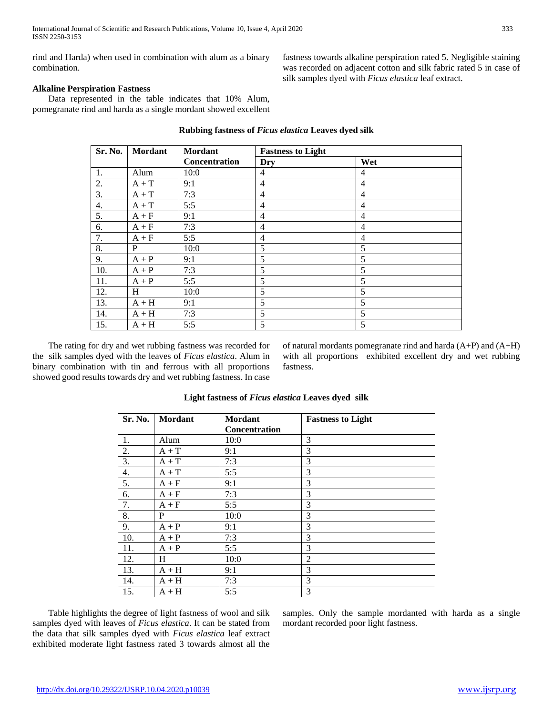rind and Harda) when used in combination with alum as a binary combination.

fastness towards alkaline perspiration rated 5. Negligible staining was recorded on adjacent cotton and silk fabric rated 5 in case of silk samples dyed with *Ficus elastica* leaf extract.

# **Alkaline Perspiration Fastness**

 Data represented in the table indicates that 10% Alum, pomegranate rind and harda as a single mordant showed excellent

| Sr. No.<br><b>Mordant</b> |         | <b>Mordant</b> | <b>Fastness to Light</b> |                |  |
|---------------------------|---------|----------------|--------------------------|----------------|--|
|                           |         | Concentration  | Dry                      | Wet            |  |
| 1.                        | Alum    | 10:0           | 4                        | 4              |  |
| $\frac{2}{3}$             | $A + T$ | 9:1            | 4                        | $\overline{4}$ |  |
|                           | $A + T$ | 7:3            | 4                        | 4              |  |
| 4.                        | $A + T$ | 5:5            | 4                        | $\overline{4}$ |  |
| 5.                        | $A + F$ | 9:1            | 4                        | $\overline{4}$ |  |
| 6.                        | $A + F$ | 7:3            | 4                        | $\overline{4}$ |  |
| 7.                        | $A + F$ | 5:5            | $\overline{4}$           | $\overline{4}$ |  |
| 8.                        | P       | 10:0           | 5                        | 5              |  |
| 9.                        | $A + P$ | 9:1            | 5                        | 5              |  |
| 10.                       | $A + P$ | 7:3            | 5                        | 5              |  |
| 11.                       | $A + P$ | 5:5            | 5                        | 5              |  |
| 12.                       | H       | 10:0           | 5                        | 5              |  |
| 13.                       | $A + H$ | 9:1            | 5                        | 5              |  |
| 14.                       | $A + H$ | 7:3            | 5                        | 5              |  |
| 15.                       | $A + H$ | 5:5            | 5                        | 5              |  |

#### **Rubbing fastness of** *Ficus elastica* **Leaves dyed silk**

 The rating for dry and wet rubbing fastness was recorded for the silk samples dyed with the leaves of *Ficus elastica*. Alum in binary combination with tin and ferrous with all proportions showed good results towards dry and wet rubbing fastness. In case

of natural mordants pomegranate rind and harda (A+P) and (A+H) with all proportions exhibited excellent dry and wet rubbing fastness.

| Sr. No. | Mordant | <b>Mordant</b> | <b>Fastness to Light</b> |
|---------|---------|----------------|--------------------------|
|         |         | Concentration  |                          |
| 1.      | Alum    | 10:0           | 3                        |
| 2.      | $A + T$ | 9:1            | 3                        |
| 3.      | $A + T$ | 7:3            | 3                        |
| 4.      | $A + T$ | 5:5            | 3                        |
| 5.      | $A + F$ | 9:1            | 3                        |
| 6.      | $A + F$ | 7:3            | 3                        |
| 7.      | $A + F$ | 5:5            | 3                        |
| 8.      | P       | 10:0           | 3                        |
| 9.      | $A + P$ | 9:1            | 3                        |
| 10.     | $A + P$ | 7:3            | 3                        |
| 11.     | $A + P$ | 5:5            | 3                        |
| 12.     | H       | 10:0           | $\overline{2}$           |
| 13.     | $A + H$ | 9:1            | 3                        |
| 14.     | $A + H$ | 7:3            | 3                        |
| 15.     | $A + H$ | 5:5            | 3                        |

#### **Light fastness of** *Ficus elastica* **Leaves dyed silk**

 Table highlights the degree of light fastness of wool and silk samples dyed with leaves of *Ficus elastica*. It can be stated from the data that silk samples dyed with *Ficus elastica* leaf extract exhibited moderate light fastness rated 3 towards almost all the samples. Only the sample mordanted with harda as a single mordant recorded poor light fastness.